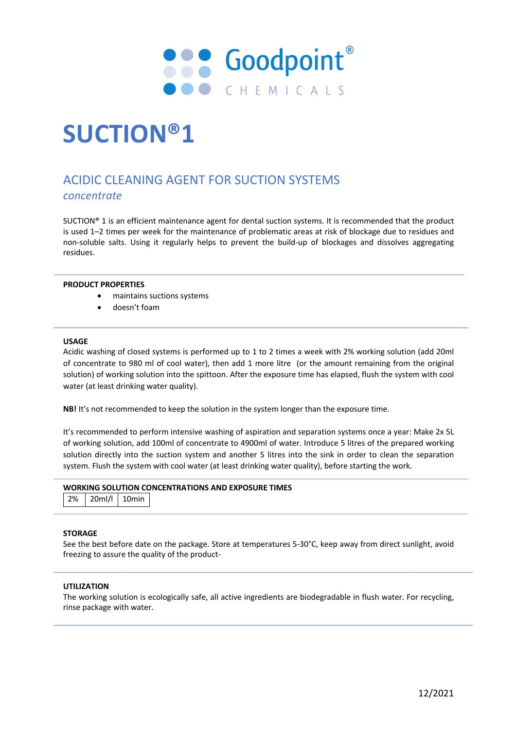

# **SUCTION®1**

# ACIDIC CLEANING AGENT FOR SUCTION SYSTEMS *concentrate*

SUCTION® 1 is an efficient maintenance agent for dental suction systems. It is recommended that the product is used 1–2 times per week for the maintenance of problematic areas at risk of blockage due to residues and non-soluble salts. Using it regularly helps to prevent the build-up of blockages and dissolves aggregating residues.

### **PRODUCT PROPERTIES**

- maintains suctions systems
- doesn't foam

#### **USAGE**

Acidic washing of closed systems is performed up to 1 to 2 times a week with 2% working solution (add 20ml of concentrate to 980 ml of cool water), then add 1 more litre (or the amount remaining from the original solution) of working solution into the spittoon. After the exposure time has elapsed, flush the system with cool water (at least drinking water quality).

**NB!** It's not recommended to keep the solution in the system longer than the exposure time.

It's recommended to perform intensive washing of aspiration and separation systems once a year: Make 2x 5L of working solution, add 100ml of concentrate to 4900ml of water. Introduce 5 litres of the prepared working solution directly into the suction system and another 5 litres into the sink in order to clean the separation system. Flush the system with cool water (at least drinking water quality), before starting the work.

# **WORKING SOLUTION CONCENTRATIONS AND EXPOSURE TIMES**

2% 20ml/l 10min

# **STORAGE**

See the best before date on the package. Store at temperatures 5-30°C, keep away from direct sunlight, avoid freezing to assure the quality of the product-

### **UTILIZATION**

The working solution is ecologically safe, all active ingredients are biodegradable in flush water. For recycling, rinse package with water.